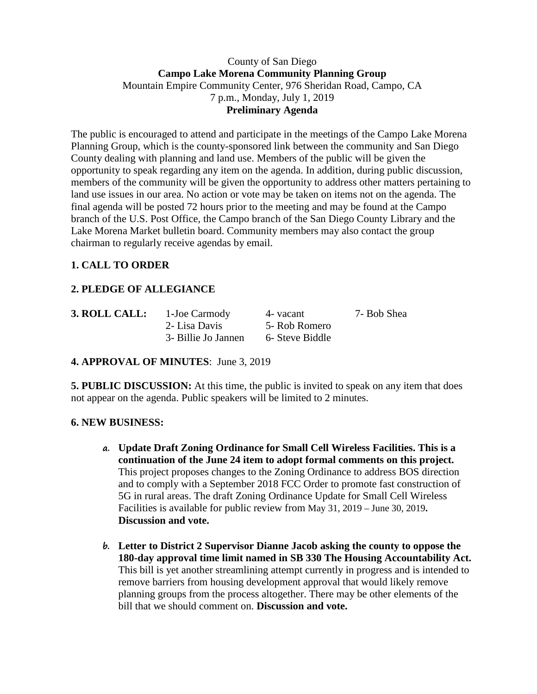## County of San Diego **Campo Lake Morena Community Planning Group** Mountain Empire Community Center, 976 Sheridan Road, Campo, CA 7 p.m., Monday, July 1, 2019 **Preliminary Agenda**

The public is encouraged to attend and participate in the meetings of the Campo Lake Morena Planning Group, which is the county-sponsored link between the community and San Diego County dealing with planning and land use. Members of the public will be given the opportunity to speak regarding any item on the agenda. In addition, during public discussion, members of the community will be given the opportunity to address other matters pertaining to land use issues in our area. No action or vote may be taken on items not on the agenda. The final agenda will be posted 72 hours prior to the meeting and may be found at the Campo branch of the U.S. Post Office, the Campo branch of the San Diego County Library and the Lake Morena Market bulletin board. Community members may also contact the group chairman to regularly receive agendas by email.

# **1. CALL TO ORDER**

## **2. PLEDGE OF ALLEGIANCE**

| 3. ROLL CA |  |
|------------|--|
|            |  |

**ALL:** 1-Joe Carmody 4- vacant 7- Bob Shea 2- Lisa Davis 5- Rob Romero 3- Billie Jo Jannen 6- Steve Biddle

## **4. APPROVAL OF MINUTES**: June 3, 2019

**5. PUBLIC DISCUSSION:** At this time, the public is invited to speak on any item that does not appear on the agenda. Public speakers will be limited to 2 minutes.

## **6. NEW BUSINESS:**

- **a. Update Draft Zoning Ordinance for Small Cell Wireless Facilities. This is a continuation of the June 24 item to adopt formal comments on this project.** This project proposes changes to the Zoning Ordinance to address BOS direction and to comply with a September 2018 FCC Order to promote fast construction of 5G in rural areas. The draft Zoning Ordinance Update for Small Cell Wireless Facilities is available for public review from May 31, 2019 – June 30, 2019**. Discussion and vote.**
- **b. Letter to District 2 Supervisor Dianne Jacob asking the county to oppose the 180-day approval time limit named in SB 330 The Housing Accountability Act.** This bill is yet another streamlining attempt currently in progress and is intended to remove barriers from housing development approval that would likely remove planning groups from the process altogether. There may be other elements of the bill that we should comment on. **Discussion and vote.**